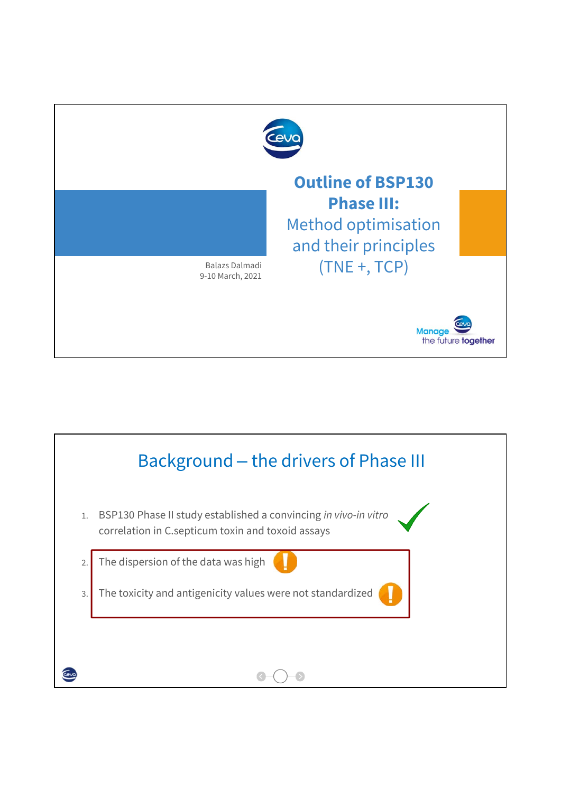

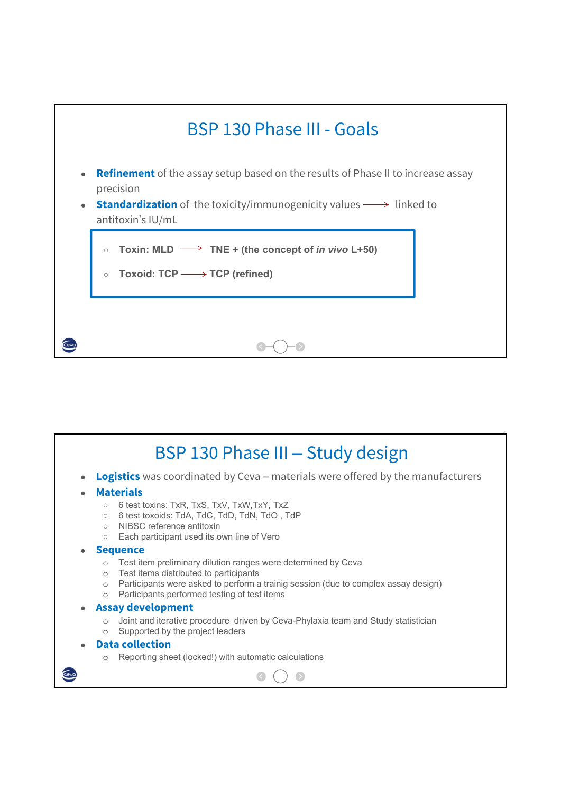

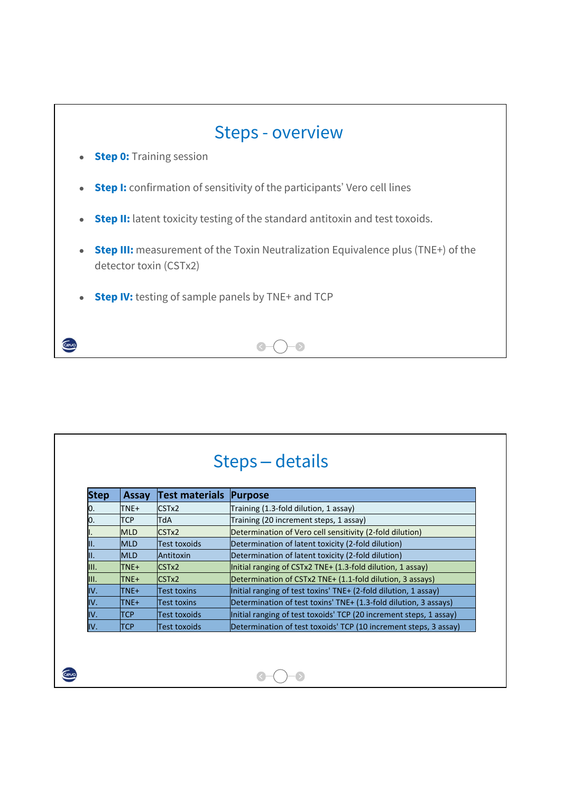

|             |            |                | Steps – details                                                    |
|-------------|------------|----------------|--------------------------------------------------------------------|
| <b>Step</b> | Assay      | Test materials | Purpose                                                            |
| 10.         | TNE+       | CSTx2          | Training (1.3-fold dilution, 1 assay)                              |
| 10.         | <b>TCP</b> | TdA            | Training (20 increment steps, 1 assay)                             |
|             | <b>MLD</b> | CSTx2          | Determination of Vero cell sensitivity (2-fold dilution)           |
| III.        | <b>MLD</b> | Test toxoids   | Determination of latent toxicity (2-fold dilution)                 |
| III.        | <b>MLD</b> | Antitoxin      | Determination of latent toxicity (2-fold dilution)                 |
| III.        | TNE+       | CSTx2          | Initial ranging of $CSTx2$ TNE+ $(1.3$ -fold dilution, 1 assay)    |
| III.        | TNE+       | CSTx2          | Determination of CSTx2 TNE+ (1.1-fold dilution, 3 assays)          |
| IV.         | TNE+       | Test toxins    | Initial ranging of test toxins' TNE+ (2-fold dilution, 1 assay)    |
| IV.         | TNE+       | Test toxins    | Determination of test toxins' TNE+ (1.3-fold dilution, 3 assays)   |
| IV.         | <b>TCP</b> | Test toxoids   | Initial ranging of test toxoids' TCP (20 increment steps, 1 assay) |
| IV.         | <b>TCP</b> | Test toxoids   | Determination of test toxoids' TCP (10 increment steps, 3 assay)   |

 $\bullet$ 

 $\odot$ 

Ceva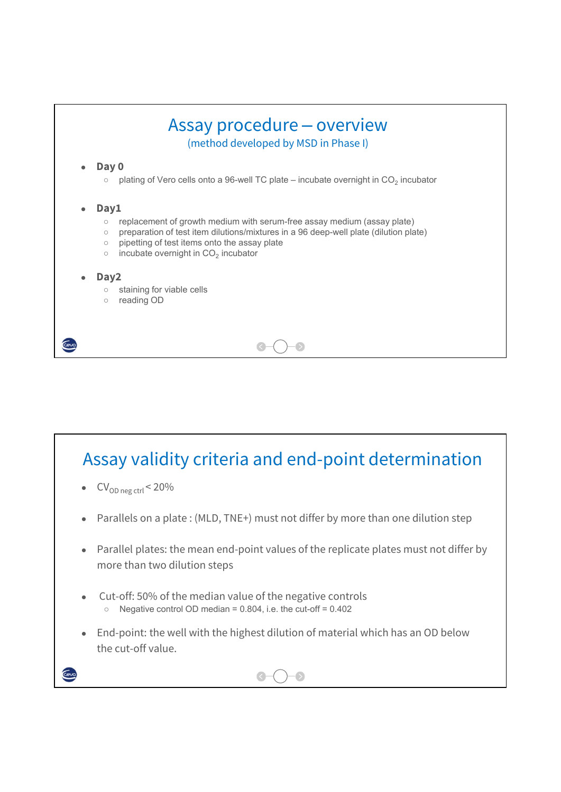

## Assay validity criteria and end-point determination

 $CV_{OD \text{neg} \text{ctrl}} < 20\%$ 

Cevo

- Parallels on a plate : (MLD, TNE+) must not differ by more than one dilution step
- Parallel plates: the mean end-point values of the replicate plates must not differ by more than two dilution steps
- Cut-off: 50% of the median value of the negative controls  $\degree$  Negative control OD median = 0.804, i.e. the cut-off = 0.402
- End-point: the well with the highest dilution of material which has an OD below the cut-off value.

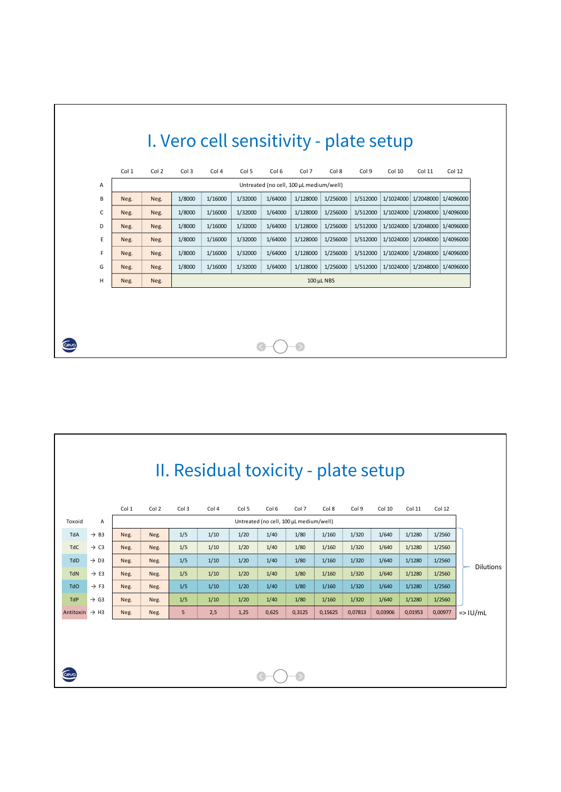|   | Col 1 | Col 2 | Col 3  | Col 4   | Col 5   | Col 6   | Col 7                                   | Col 8           | Col 9    | Col 10 | Col 11                        | Col 12 |
|---|-------|-------|--------|---------|---------|---------|-----------------------------------------|-----------------|----------|--------|-------------------------------|--------|
| Α |       |       |        |         |         |         | Untreated (no cell, 100 µL medium/well) |                 |          |        |                               |        |
| B | Neg.  | Neg.  | 1/8000 | 1/16000 | 1/32000 | 1/64000 | 1/128000                                | 1/256000        | 1/512000 |        | 1/1024000 1/2048000 1/4096000 |        |
| C | Neg.  | Neg.  | 1/8000 | 1/16000 | 1/32000 | 1/64000 | 1/128000                                | 1/256000        | 1/512000 |        | 1/1024000 1/2048000 1/4096000 |        |
| D | Neg.  | Neg.  | 1/8000 | 1/16000 | 1/32000 | 1/64000 | 1/128000                                | 1/256000        | 1/512000 |        | 1/1024000 1/2048000 1/4096000 |        |
| E | Neg.  | Neg.  | 1/8000 | 1/16000 | 1/32000 | 1/64000 | 1/128000                                | 1/256000        | 1/512000 |        | 1/1024000 1/2048000 1/4096000 |        |
| F | Neg.  | Neg.  | 1/8000 | 1/16000 | 1/32000 | 1/64000 | 1/128000                                | 1/256000        | 1/512000 |        | 1/1024000 1/2048000 1/4096000 |        |
| G | Neg.  | Neg.  | 1/8000 | 1/16000 | 1/32000 | 1/64000 | 1/128000                                | 1/256000        | 1/512000 |        | 1/1024000 1/2048000 1/4096000 |        |
| н | Neg.  | Neg.  |        |         |         |         |                                         | $100 \mu L NBS$ |          |        |                               |        |
|   |       |       |        |         |         |         |                                         |                 |          |        |                               |        |

|                            |                  |       |       |       | II. Residual toxicity - plate setup |       |                                         |        |         |         |         |         |         |                  |
|----------------------------|------------------|-------|-------|-------|-------------------------------------|-------|-----------------------------------------|--------|---------|---------|---------|---------|---------|------------------|
|                            |                  | Col 1 | Col 2 | Col 3 | Col 4                               | Col 5 | Col 6                                   | Col 7  | Col 8   | Col 9   | Col 10  | Col 11  | Col 12  |                  |
| Toxoid                     | Α                |       |       |       |                                     |       | Untreated (no cell, 100 µL medium/well) |        |         |         |         |         |         |                  |
| TdA                        | $\rightarrow$ B3 | Neg.  | Neg.  | 1/5   | 1/10                                | 1/20  | 1/40                                    | 1/80   | 1/160   | 1/320   | 1/640   | 1/1280  | 1/2560  |                  |
| <b>TdC</b>                 | $\rightarrow$ C3 | Neg.  | Neg.  | 1/5   | 1/10                                | 1/20  | 1/40                                    | 1/80   | 1/160   | 1/320   | 1/640   | 1/1280  | 1/2560  |                  |
| <b>TdD</b>                 | $\rightarrow$ D3 | Neg.  | Neg.  | 1/5   | 1/10                                | 1/20  | 1/40                                    | 1/80   | 1/160   | 1/320   | 1/640   | 1/1280  | 1/2560  | <b>Dilutions</b> |
| <b>TdN</b>                 | $\rightarrow$ E3 | Neg.  | Neg.  | 1/5   | 1/10                                | 1/20  | 1/40                                    | 1/80   | 1/160   | 1/320   | 1/640   | 1/1280  | 1/2560  |                  |
| <b>TdO</b>                 | $\rightarrow$ F3 | Neg.  | Neg.  | 1/5   | 1/10                                | 1/20  | 1/40                                    | 1/80   | 1/160   | 1/320   | 1/640   | 1/1280  | 1/2560  |                  |
| <b>TdP</b>                 | $\rightarrow$ G3 | Neg.  | Neg.  | 1/5   | 1/10                                | 1/20  | 1/40                                    | 1/80   | 1/160   | 1/320   | 1/640   | 1/1280  | 1/2560  |                  |
| Antitoxin $\rightarrow$ H3 |                  | Neg.  | Neg.  | 5     | 2,5                                 | 1,25  | 0,625                                   | 0,3125 | 0,15625 | 0,07813 | 0,03906 | 0,01953 | 0,00977 | $=$ > $ U/mL$    |
| cevc                       |                  |       |       |       |                                     |       |                                         |        |         |         |         |         |         |                  |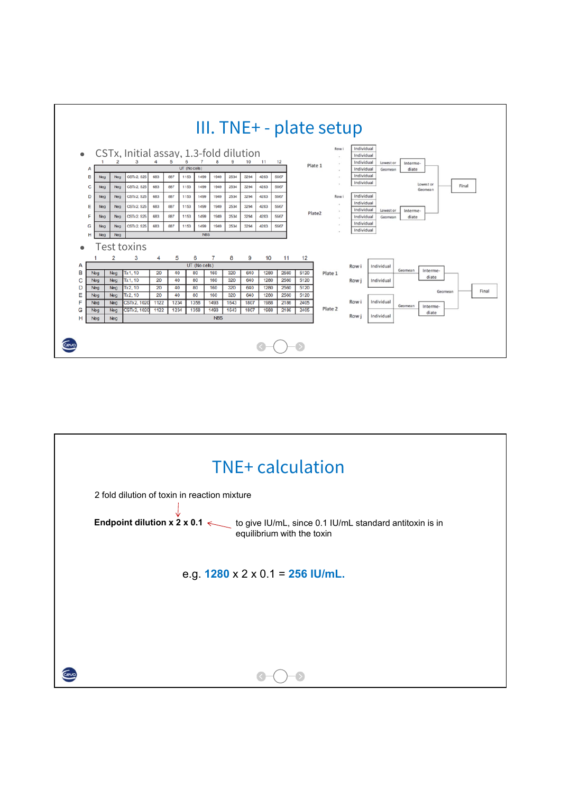

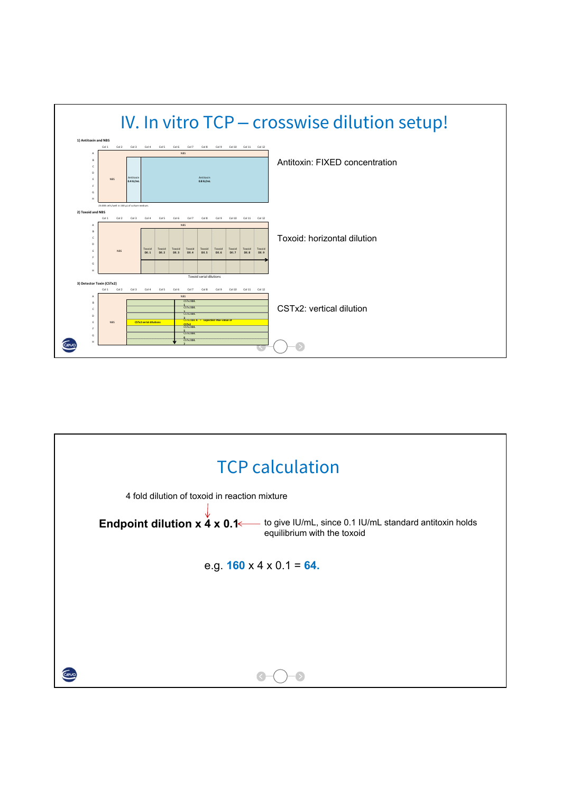

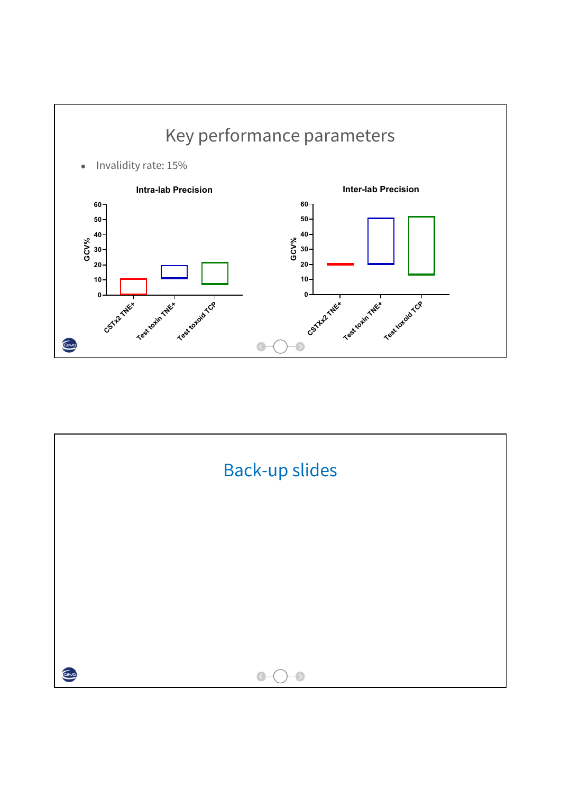